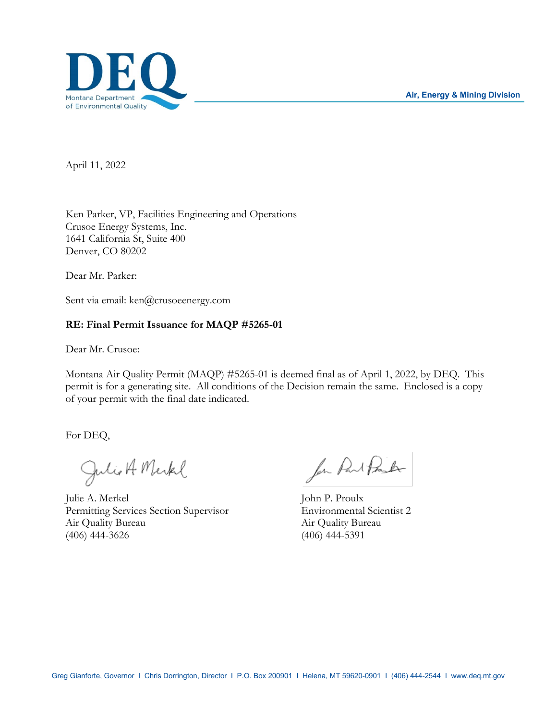

April 11, 2022

Ken Parker, VP, Facilities Engineering and Operations Crusoe Energy Systems, Inc. 1641 California St, Suite 400 Denver, CO 80202

Dear Mr. Parker:

Sent via email: ken@crusoeenergy.com

# **RE: Final Permit Issuance for MAQP #5265-01**

Dear Mr. Crusoe:

Montana Air Quality Permit (MAQP) #5265-01 is deemed final as of April 1, 2022, by DEQ. This permit is for a generating site. All conditions of the Decision remain the same. Enclosed is a copy of your permit with the final date indicated.

For DEQ,

Julio A Merkel

Julie A. Merkel John P. Proulx Permitting Services Section Supervisor Environmental Scientist 2 Air Quality Bureau Air Quality Bureau (406) 444-3626 (406) 444-5391

for Part Pork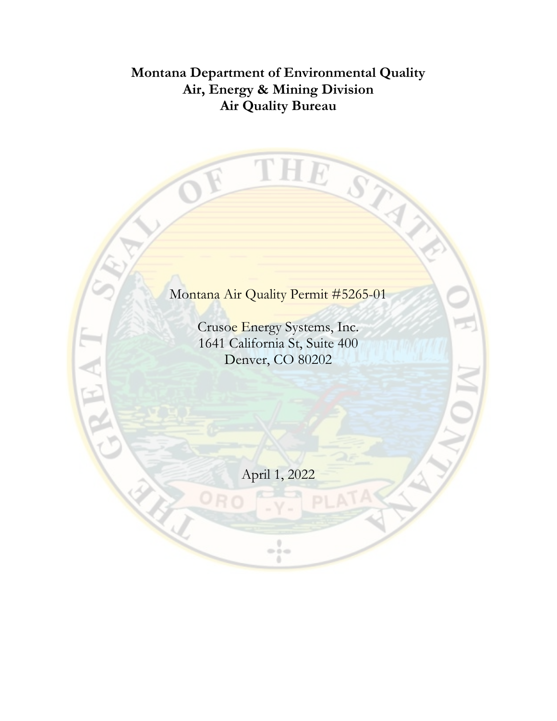# **Montana Department of Environmental Quality Air, Energy & Mining Division Air Quality Bureau**

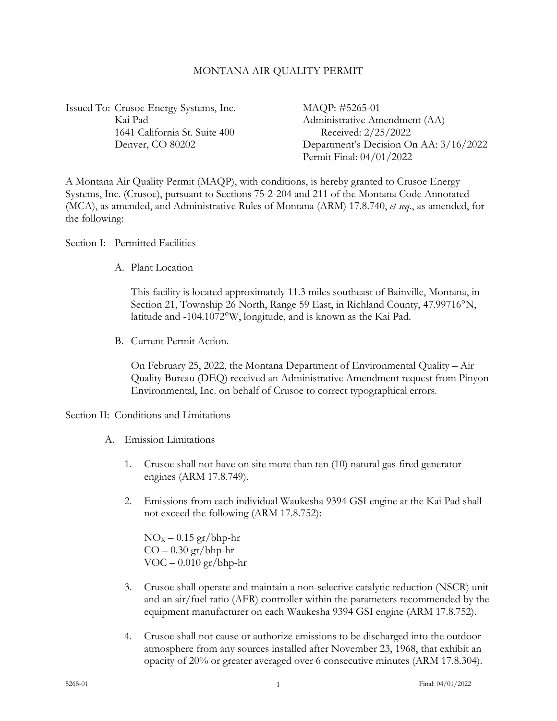#### MONTANA AIR QUALITY PERMIT

Issued To: Crusoe Energy Systems, Inc. MAQP: #5265-01 1641 California St. Suite 400 Received: 2/25/2022

Kai Pad Administrative Amendment (AA) Denver, CO 80202 Department's Decision On AA:  $3/16/2022$ Permit Final: 04/01/2022

A Montana Air Quality Permit (MAQP), with conditions, is hereby granted to Crusoe Energy Systems, Inc. (Crusoe), pursuant to Sections 75-2-204 and 211 of the Montana Code Annotated (MCA), as amended, and Administrative Rules of Montana (ARM) 17.8.740, *et seq*., as amended, for the following:

Section I: Permitted Facilities

A. Plant Location

This facility is located approximately 11.3 miles southeast of Bainville, Montana, in Section 21, Township 26 North, Range 59 East, in Richland County, 47.99716°N, latitude and -104.1072°W, longitude, and is known as the Kai Pad.

B. Current Permit Action.

On February 25, 2022, the Montana Department of Environmental Quality – Air Quality Bureau (DEQ) received an Administrative Amendment request from Pinyon Environmental, Inc. on behalf of Crusoe to correct typographical errors.

#### Section II: Conditions and Limitations

- <span id="page-2-1"></span>A. Emission Limitations
	- 1. Crusoe shall not have on site more than ten (10) natural gas-fired generator engines (ARM 17.8.749).
	- 2. Emissions from each individual Waukesha 9394 GSI engine at the Kai Pad shall not exceed the following (ARM 17.8.752):

 $NO<sub>x</sub> - 0.15$  gr/bhp-hr  $CO - 0.30$  gr/bhp-hr  $VOC - 0.010 gr/bhp-hr$ 

- 3. Crusoe shall operate and maintain a non-selective catalytic reduction (NSCR) unit and an air/fuel ratio (AFR) controller within the parameters recommended by the equipment manufacturer on each Waukesha 9394 GSI engine (ARM 17.8.752).
- <span id="page-2-0"></span>4. Crusoe shall not cause or authorize emissions to be discharged into the outdoor atmosphere from any sources installed after November 23, 1968, that exhibit an opacity of 20% or greater averaged over 6 consecutive minutes (ARM 17.8.304).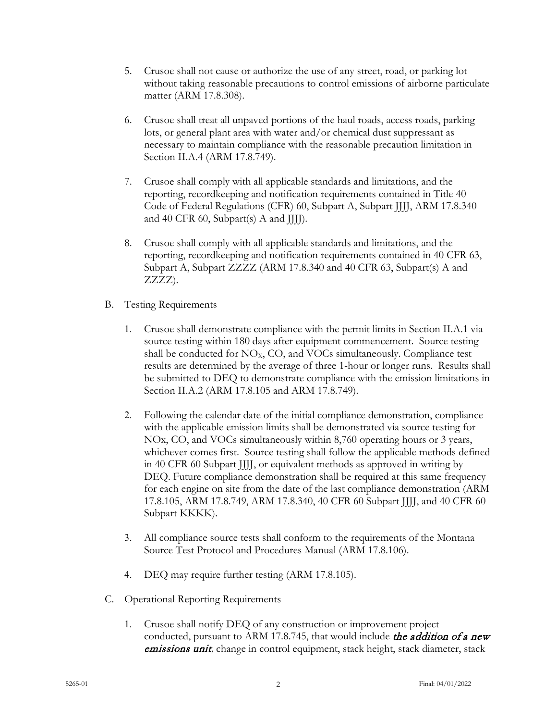- 5. Crusoe shall not cause or authorize the use of any street, road, or parking lot without taking reasonable precautions to control emissions of airborne particulate matter (ARM 17.8.308).
- 6. Crusoe shall treat all unpaved portions of the haul roads, access roads, parking lots, or general plant area with water and/or chemical dust suppressant as necessary to maintain compliance with the reasonable precaution limitation in Section II.A[.4](#page-2-0) (ARM 17.8.749).
- 7. Crusoe shall comply with all applicable standards and limitations, and the reporting, recordkeeping and notification requirements contained in Title 40 Code of Federal Regulations (CFR) 60, Subpart A, Subpart JJJJ, ARM 17.8.340 and 40 CFR 60, Subpart(s) A and JJJJ).
- 8. Crusoe shall comply with all applicable standards and limitations, and the reporting, recordkeeping and notification requirements contained in 40 CFR 63, Subpart A, Subpart ZZZZ (ARM 17.8.340 and 40 CFR 63, Subpart(s) A and ZZZZ).
- B. Testing Requirements
	- 1. Crusoe shall demonstrate compliance with the permit limits in Section II.A[.1](#page-2-1) via source testing within 180 days after equipment commencement. Source testing shall be conducted for  $NO<sub>x</sub>$ ,  $CO$ , and  $VO<sub>Cs</sub>$  simultaneously. Compliance test results are determined by the average of three 1-hour or longer runs. Results shall be submitted to DEQ to demonstrate compliance with the emission limitations in Section II.A[.2](#page-2-1) (ARM 17.8.105 and ARM 17.8.749).
	- 2. Following the calendar date of the initial compliance demonstration, compliance with the applicable emission limits shall be demonstrated via source testing for NOx, CO, and VOCs simultaneously within 8,760 operating hours or 3 years, whichever comes first. Source testing shall follow the applicable methods defined in 40 CFR 60 Subpart JJJJ, or equivalent methods as approved in writing by DEQ. Future compliance demonstration shall be required at this same frequency for each engine on site from the date of the last compliance demonstration (ARM 17.8.105, ARM 17.8.749, ARM 17.8.340, 40 CFR 60 Subpart JJJJ, and 40 CFR 60 Subpart KKKK).
	- 3. All compliance source tests shall conform to the requirements of the Montana Source Test Protocol and Procedures Manual (ARM 17.8.106).
	- 4. DEQ may require further testing (ARM 17.8.105).
- C. Operational Reporting Requirements
	- 1. Crusoe shall notify DEQ of any construction or improvement project conducted, pursuant to ARM 17.8.745, that would include the addition of a new emissions unit*,* change in control equipment, stack height, stack diameter, stack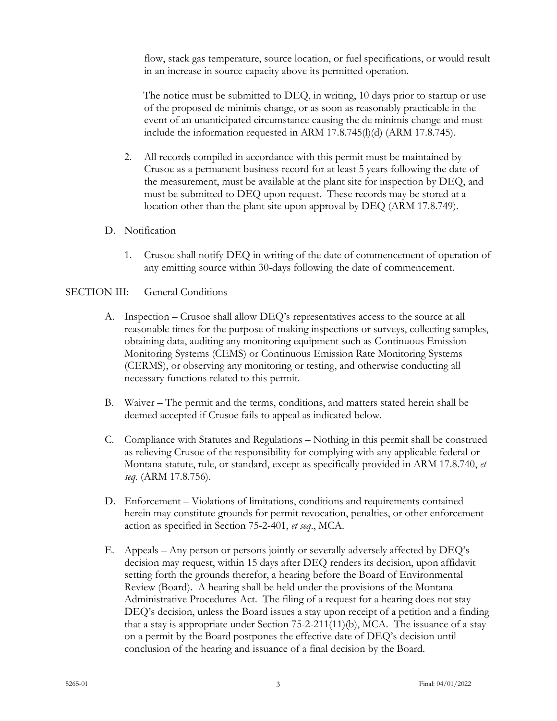flow, stack gas temperature, source location, or fuel specifications, or would result in an increase in source capacity above its permitted operation.

The notice must be submitted to DEQ, in writing, 10 days prior to startup or use of the proposed de minimis change, or as soon as reasonably practicable in the event of an unanticipated circumstance causing the de minimis change and must include the information requested in ARM 17.8.745(l)(d) (ARM 17.8.745).

- 2. All records compiled in accordance with this permit must be maintained by Crusoe as a permanent business record for at least 5 years following the date of the measurement, must be available at the plant site for inspection by DEQ, and must be submitted to DEQ upon request. These records may be stored at a location other than the plant site upon approval by DEQ (ARM 17.8.749).
- D. Notification
	- 1. Crusoe shall notify DEQ in writing of the date of commencement of operation of any emitting source within 30-days following the date of commencement.

# SECTION III: General Conditions

- A. Inspection Crusoe shall allow DEQ's representatives access to the source at all reasonable times for the purpose of making inspections or surveys, collecting samples, obtaining data, auditing any monitoring equipment such as Continuous Emission Monitoring Systems (CEMS) or Continuous Emission Rate Monitoring Systems (CERMS), or observing any monitoring or testing, and otherwise conducting all necessary functions related to this permit.
- B. Waiver The permit and the terms, conditions, and matters stated herein shall be deemed accepted if Crusoe fails to appeal as indicated below.
- C. Compliance with Statutes and Regulations Nothing in this permit shall be construed as relieving Crusoe of the responsibility for complying with any applicable federal or Montana statute, rule, or standard, except as specifically provided in ARM 17.8.740, *et seq*. (ARM 17.8.756).
- D. Enforcement Violations of limitations, conditions and requirements contained herein may constitute grounds for permit revocation, penalties, or other enforcement action as specified in Section 75-2-401, *et seq*., MCA.
- E. Appeals Any person or persons jointly or severally adversely affected by DEQ's decision may request, within 15 days after DEQ renders its decision, upon affidavit setting forth the grounds therefor, a hearing before the Board of Environmental Review (Board). A hearing shall be held under the provisions of the Montana Administrative Procedures Act. The filing of a request for a hearing does not stay DEQ's decision, unless the Board issues a stay upon receipt of a petition and a finding that a stay is appropriate under Section  $75-2-211(11)(b)$ , MCA. The issuance of a stay on a permit by the Board postpones the effective date of DEQ's decision until conclusion of the hearing and issuance of a final decision by the Board.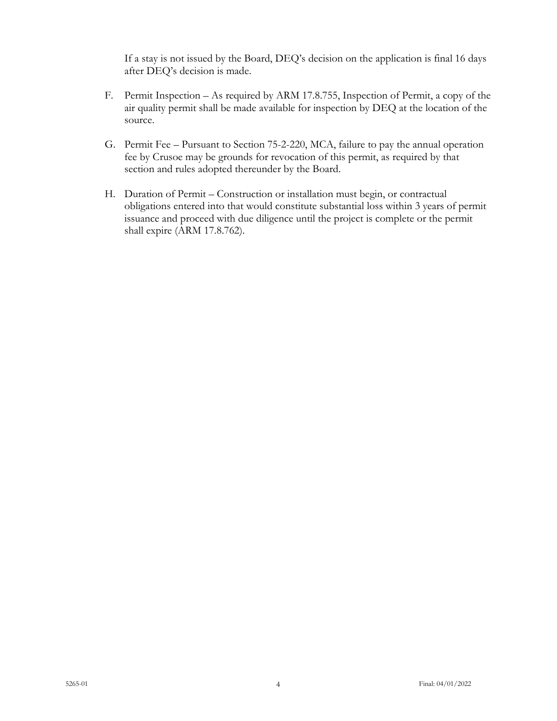If a stay is not issued by the Board, DEQ's decision on the application is final 16 days after DEQ's decision is made.

- F. Permit Inspection As required by ARM 17.8.755, Inspection of Permit, a copy of the air quality permit shall be made available for inspection by DEQ at the location of the source.
- G. Permit Fee Pursuant to Section 75-2-220, MCA, failure to pay the annual operation fee by Crusoe may be grounds for revocation of this permit, as required by that section and rules adopted thereunder by the Board.
- H. Duration of Permit Construction or installation must begin, or contractual obligations entered into that would constitute substantial loss within 3 years of permit issuance and proceed with due diligence until the project is complete or the permit shall expire (ARM 17.8.762).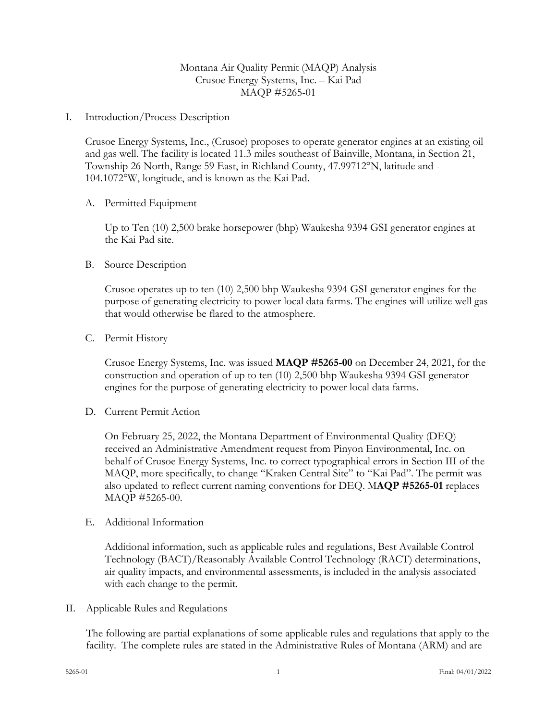# Montana Air Quality Permit (MAQP) Analysis Crusoe Energy Systems, Inc. – Kai Pad MAQP #5265-01

I. Introduction/Process Description

Crusoe Energy Systems, Inc., (Crusoe) proposes to operate generator engines at an existing oil and gas well. The facility is located 11.3 miles southeast of Bainville, Montana, in Section 21, Township 26 North, Range 59 East, in Richland County, 47.99712°N, latitude and - 104.1072°W, longitude, and is known as the Kai Pad.

### A. Permitted Equipment

Up to Ten (10) 2,500 brake horsepower (bhp) Waukesha 9394 GSI generator engines at the Kai Pad site.

### B. Source Description

Crusoe operates up to ten (10) 2,500 bhp Waukesha 9394 GSI generator engines for the purpose of generating electricity to power local data farms. The engines will utilize well gas that would otherwise be flared to the atmosphere.

### C. Permit History

Crusoe Energy Systems, Inc. was issued **MAQP #5265-00** on December 24, 2021, for the construction and operation of up to ten (10) 2,500 bhp Waukesha 9394 GSI generator engines for the purpose of generating electricity to power local data farms.

D. Current Permit Action

On February 25, 2022, the Montana Department of Environmental Quality (DEQ) received an Administrative Amendment request from Pinyon Environmental, Inc. on behalf of Crusoe Energy Systems, Inc. to correct typographical errors in Section III of the MAQP, more specifically, to change "Kraken Central Site" to "Kai Pad". The permit was also updated to reflect current naming conventions for DEQ. M**AQP #5265-01** replaces MAQP #5265-00.

E. Additional Information

Additional information, such as applicable rules and regulations, Best Available Control Technology (BACT)/Reasonably Available Control Technology (RACT) determinations, air quality impacts, and environmental assessments, is included in the analysis associated with each change to the permit.

II. Applicable Rules and Regulations

The following are partial explanations of some applicable rules and regulations that apply to the facility. The complete rules are stated in the Administrative Rules of Montana (ARM) and are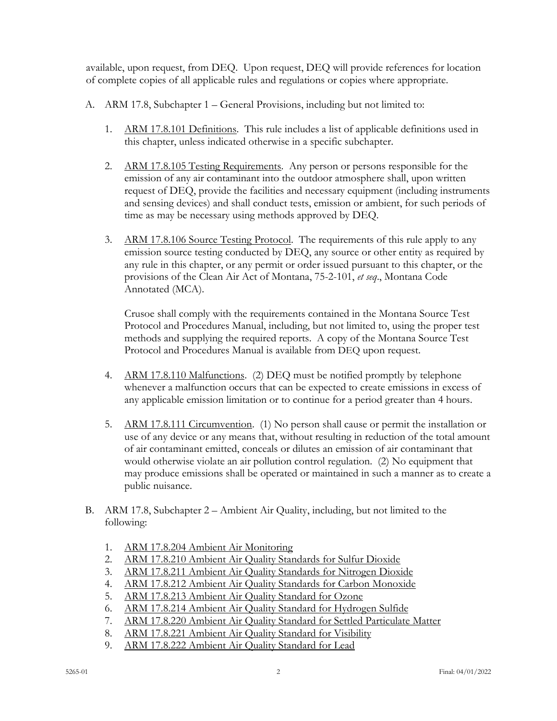available, upon request, from DEQ. Upon request, DEQ will provide references for location of complete copies of all applicable rules and regulations or copies where appropriate.

- A. ARM 17.8, Subchapter 1 General Provisions, including but not limited to:
	- 1. ARM 17.8.101 Definitions. This rule includes a list of applicable definitions used in this chapter, unless indicated otherwise in a specific subchapter.
	- 2. ARM 17.8.105 Testing Requirements. Any person or persons responsible for the emission of any air contaminant into the outdoor atmosphere shall, upon written request of DEQ, provide the facilities and necessary equipment (including instruments and sensing devices) and shall conduct tests, emission or ambient, for such periods of time as may be necessary using methods approved by DEQ.
	- 3. ARM 17.8.106 Source Testing Protocol. The requirements of this rule apply to any emission source testing conducted by DEQ, any source or other entity as required by any rule in this chapter, or any permit or order issued pursuant to this chapter, or the provisions of the Clean Air Act of Montana, 75-2-101, *et seq*., Montana Code Annotated (MCA).

Crusoe shall comply with the requirements contained in the Montana Source Test Protocol and Procedures Manual, including, but not limited to, using the proper test methods and supplying the required reports. A copy of the Montana Source Test Protocol and Procedures Manual is available from DEQ upon request.

- 4. ARM 17.8.110 Malfunctions. (2) DEQ must be notified promptly by telephone whenever a malfunction occurs that can be expected to create emissions in excess of any applicable emission limitation or to continue for a period greater than 4 hours.
- 5. ARM 17.8.111 Circumvention. (1) No person shall cause or permit the installation or use of any device or any means that, without resulting in reduction of the total amount of air contaminant emitted, conceals or dilutes an emission of air contaminant that would otherwise violate an air pollution control regulation. (2) No equipment that may produce emissions shall be operated or maintained in such a manner as to create a public nuisance.
- B. ARM 17.8, Subchapter 2 Ambient Air Quality, including, but not limited to the following:
	- 1. ARM 17.8.204 Ambient Air Monitoring
	- 2. ARM 17.8.210 Ambient Air Quality Standards for Sulfur Dioxide
	- 3. ARM 17.8.211 Ambient Air Quality Standards for Nitrogen Dioxide
	- 4. ARM 17.8.212 Ambient Air Quality Standards for Carbon Monoxide
	- 5. ARM 17.8.213 Ambient Air Quality Standard for Ozone
	- 6. ARM 17.8.214 Ambient Air Quality Standard for Hydrogen Sulfide
	- 7. ARM 17.8.220 Ambient Air Quality Standard for Settled Particulate Matter
	- 8. ARM 17.8.221 Ambient Air Quality Standard for Visibility
	- 9. ARM 17.8.222 Ambient Air Quality Standard for Lead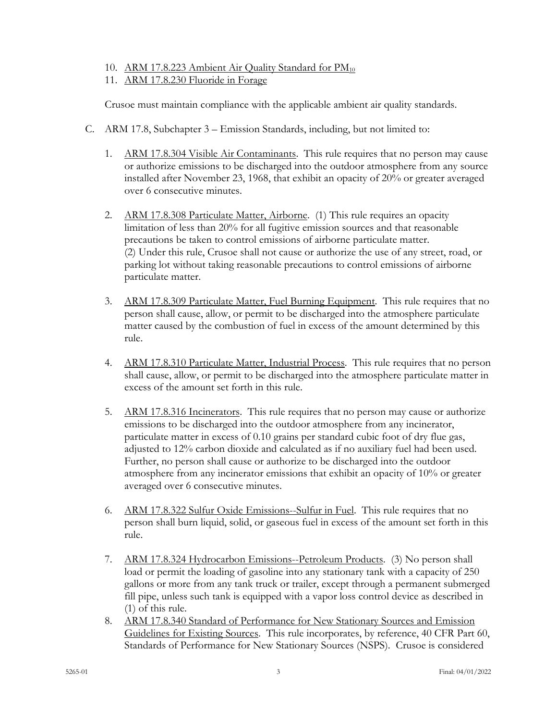- 10. ARM 17.8.223 Ambient Air Quality Standard for PM<sub>10</sub>
- 11. ARM 17.8.230 Fluoride in Forage

Crusoe must maintain compliance with the applicable ambient air quality standards.

- C. ARM 17.8, Subchapter 3 Emission Standards, including, but not limited to:
	- 1. ARM 17.8.304 Visible Air Contaminants. This rule requires that no person may cause or authorize emissions to be discharged into the outdoor atmosphere from any source installed after November 23, 1968, that exhibit an opacity of 20% or greater averaged over 6 consecutive minutes.
	- 2. ARM 17.8.308 Particulate Matter, Airborne. (1) This rule requires an opacity limitation of less than 20% for all fugitive emission sources and that reasonable precautions be taken to control emissions of airborne particulate matter. (2) Under this rule, Crusoe shall not cause or authorize the use of any street, road, or parking lot without taking reasonable precautions to control emissions of airborne particulate matter.
	- 3. ARM 17.8.309 Particulate Matter, Fuel Burning Equipment. This rule requires that no person shall cause, allow, or permit to be discharged into the atmosphere particulate matter caused by the combustion of fuel in excess of the amount determined by this rule.
	- 4. ARM 17.8.310 Particulate Matter, Industrial Process. This rule requires that no person shall cause, allow, or permit to be discharged into the atmosphere particulate matter in excess of the amount set forth in this rule.
	- 5. ARM 17.8.316 Incinerators. This rule requires that no person may cause or authorize emissions to be discharged into the outdoor atmosphere from any incinerator, particulate matter in excess of 0.10 grains per standard cubic foot of dry flue gas, adjusted to 12% carbon dioxide and calculated as if no auxiliary fuel had been used. Further, no person shall cause or authorize to be discharged into the outdoor atmosphere from any incinerator emissions that exhibit an opacity of 10% or greater averaged over 6 consecutive minutes.
	- 6. ARM 17.8.322 Sulfur Oxide Emissions--Sulfur in Fuel. This rule requires that no person shall burn liquid, solid, or gaseous fuel in excess of the amount set forth in this rule.
	- 7. ARM 17.8.324 Hydrocarbon Emissions--Petroleum Products. (3) No person shall load or permit the loading of gasoline into any stationary tank with a capacity of 250 gallons or more from any tank truck or trailer, except through a permanent submerged fill pipe, unless such tank is equipped with a vapor loss control device as described in (1) of this rule.
	- 8. ARM 17.8.340 Standard of Performance for New Stationary Sources and Emission Guidelines for Existing Sources. This rule incorporates, by reference, 40 CFR Part 60, Standards of Performance for New Stationary Sources (NSPS). Crusoe is considered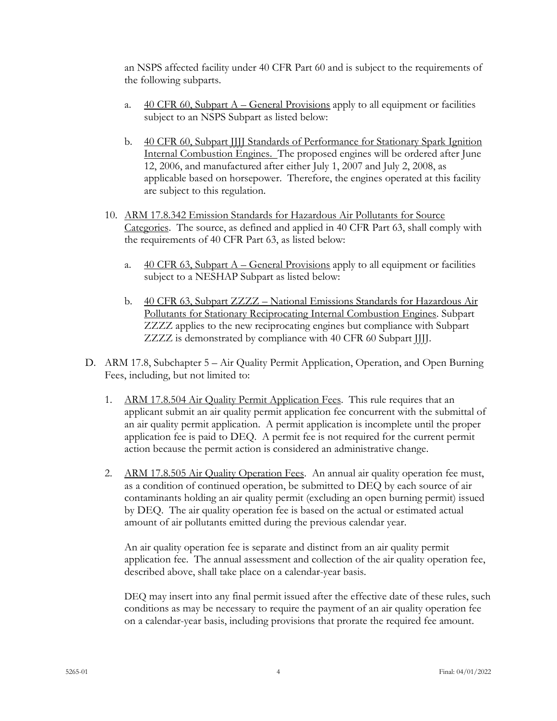an NSPS affected facility under 40 CFR Part 60 and is subject to the requirements of the following subparts.

- a.  $40 \text{ CFR } 60$ , Subpart A General Provisions apply to all equipment or facilities subject to an NSPS Subpart as listed below:
- b. 40 CFR 60, Subpart JJJJ Standards of Performance for Stationary Spark Ignition Internal Combustion Engines. The proposed engines will be ordered after June 12, 2006, and manufactured after either July 1, 2007 and July 2, 2008, as applicable based on horsepower. Therefore, the engines operated at this facility are subject to this regulation.
- 10. ARM 17.8.342 Emission Standards for Hazardous Air Pollutants for Source Categories. The source, as defined and applied in 40 CFR Part 63, shall comply with the requirements of 40 CFR Part 63, as listed below:
	- a.  $40$  CFR 63, Subpart A General Provisions apply to all equipment or facilities subject to a NESHAP Subpart as listed below:
	- b. 40 CFR 63, Subpart ZZZZ National Emissions Standards for Hazardous Air Pollutants for Stationary Reciprocating Internal Combustion Engines. Subpart ZZZZ applies to the new reciprocating engines but compliance with Subpart ZZZZ is demonstrated by compliance with 40 CFR 60 Subpart JJJJ.
- D. ARM 17.8, Subchapter 5 Air Quality Permit Application, Operation, and Open Burning Fees, including, but not limited to:
	- 1. ARM 17.8.504 Air Quality Permit Application Fees. This rule requires that an applicant submit an air quality permit application fee concurrent with the submittal of an air quality permit application. A permit application is incomplete until the proper application fee is paid to DEQ. A permit fee is not required for the current permit action because the permit action is considered an administrative change.
	- 2. ARM 17.8.505 Air Quality Operation Fees. An annual air quality operation fee must, as a condition of continued operation, be submitted to DEQ by each source of air contaminants holding an air quality permit (excluding an open burning permit) issued by DEQ. The air quality operation fee is based on the actual or estimated actual amount of air pollutants emitted during the previous calendar year.

An air quality operation fee is separate and distinct from an air quality permit application fee. The annual assessment and collection of the air quality operation fee, described above, shall take place on a calendar-year basis.

DEQ may insert into any final permit issued after the effective date of these rules, such conditions as may be necessary to require the payment of an air quality operation fee on a calendar-year basis, including provisions that prorate the required fee amount.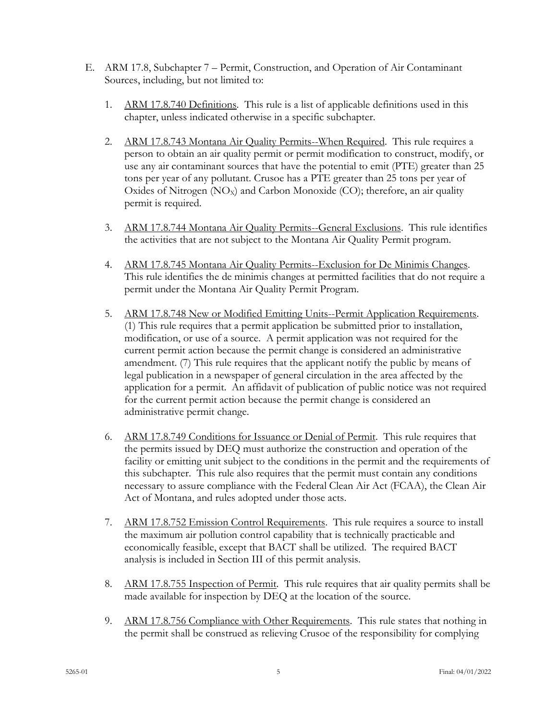- E. ARM 17.8, Subchapter 7 Permit, Construction, and Operation of Air Contaminant Sources, including, but not limited to:
	- 1. ARM 17.8.740 Definitions. This rule is a list of applicable definitions used in this chapter, unless indicated otherwise in a specific subchapter.
	- 2. ARM 17.8.743 Montana Air Quality Permits--When Required. This rule requires a person to obtain an air quality permit or permit modification to construct, modify, or use any air contaminant sources that have the potential to emit (PTE) greater than 25 tons per year of any pollutant. Crusoe has a PTE greater than 25 tons per year of Oxides of Nitrogen  $(NO_x)$  and Carbon Monoxide  $(CO)$ ; therefore, an air quality permit is required.
	- 3. ARM 17.8.744 Montana Air Quality Permits--General Exclusions. This rule identifies the activities that are not subject to the Montana Air Quality Permit program.
	- 4. ARM 17.8.745 Montana Air Quality Permits--Exclusion for De Minimis Changes. This rule identifies the de minimis changes at permitted facilities that do not require a permit under the Montana Air Quality Permit Program.
	- 5. ARM 17.8.748 New or Modified Emitting Units--Permit Application Requirements. (1) This rule requires that a permit application be submitted prior to installation, modification, or use of a source. A permit application was not required for the current permit action because the permit change is considered an administrative amendment. (7) This rule requires that the applicant notify the public by means of legal publication in a newspaper of general circulation in the area affected by the application for a permit. An affidavit of publication of public notice was not required for the current permit action because the permit change is considered an administrative permit change.
	- 6. ARM 17.8.749 Conditions for Issuance or Denial of Permit. This rule requires that the permits issued by DEQ must authorize the construction and operation of the facility or emitting unit subject to the conditions in the permit and the requirements of this subchapter. This rule also requires that the permit must contain any conditions necessary to assure compliance with the Federal Clean Air Act (FCAA), the Clean Air Act of Montana, and rules adopted under those acts.
	- 7. ARM 17.8.752 Emission Control Requirements. This rule requires a source to install the maximum air pollution control capability that is technically practicable and economically feasible, except that BACT shall be utilized. The required BACT analysis is included in Section III of this permit analysis.
	- 8. ARM 17.8.755 Inspection of Permit. This rule requires that air quality permits shall be made available for inspection by DEQ at the location of the source.
	- 9. ARM 17.8.756 Compliance with Other Requirements. This rule states that nothing in the permit shall be construed as relieving Crusoe of the responsibility for complying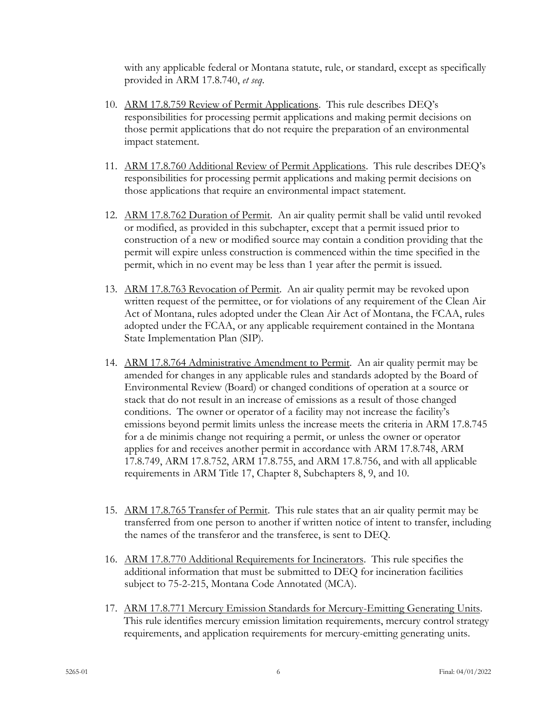with any applicable federal or Montana statute, rule, or standard, except as specifically provided in ARM 17.8.740, *et seq*.

- 10. ARM 17.8.759 Review of Permit Applications. This rule describes DEQ's responsibilities for processing permit applications and making permit decisions on those permit applications that do not require the preparation of an environmental impact statement.
- 11. ARM 17.8.760 Additional Review of Permit Applications. This rule describes DEQ's responsibilities for processing permit applications and making permit decisions on those applications that require an environmental impact statement.
- 12. ARM 17.8.762 Duration of Permit. An air quality permit shall be valid until revoked or modified, as provided in this subchapter, except that a permit issued prior to construction of a new or modified source may contain a condition providing that the permit will expire unless construction is commenced within the time specified in the permit, which in no event may be less than 1 year after the permit is issued.
- 13. ARM 17.8.763 Revocation of Permit. An air quality permit may be revoked upon written request of the permittee, or for violations of any requirement of the Clean Air Act of Montana, rules adopted under the Clean Air Act of Montana, the FCAA, rules adopted under the FCAA, or any applicable requirement contained in the Montana State Implementation Plan (SIP).
- 14. ARM 17.8.764 Administrative Amendment to Permit. An air quality permit may be amended for changes in any applicable rules and standards adopted by the Board of Environmental Review (Board) or changed conditions of operation at a source or stack that do not result in an increase of emissions as a result of those changed conditions. The owner or operator of a facility may not increase the facility's emissions beyond permit limits unless the increase meets the criteria in ARM 17.8.745 for a de minimis change not requiring a permit, or unless the owner or operator applies for and receives another permit in accordance with ARM 17.8.748, ARM 17.8.749, ARM 17.8.752, ARM 17.8.755, and ARM 17.8.756, and with all applicable requirements in ARM Title 17, Chapter 8, Subchapters 8, 9, and 10.
- 15. ARM 17.8.765 Transfer of Permit. This rule states that an air quality permit may be transferred from one person to another if written notice of intent to transfer, including the names of the transferor and the transferee, is sent to DEQ.
- 16. ARM 17.8.770 Additional Requirements for Incinerators. This rule specifies the additional information that must be submitted to DEQ for incineration facilities subject to 75-2-215, Montana Code Annotated (MCA).
- 17. ARM 17.8.771 Mercury Emission Standards for Mercury-Emitting Generating Units. This rule identifies mercury emission limitation requirements, mercury control strategy requirements, and application requirements for mercury-emitting generating units.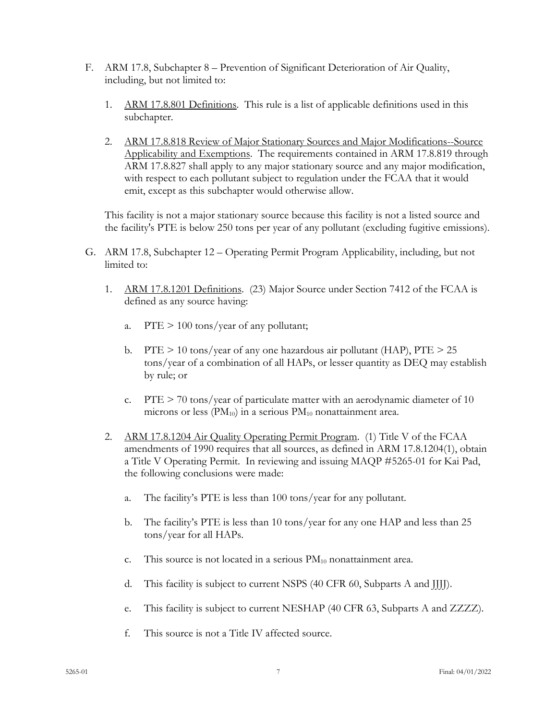- F. ARM 17.8, Subchapter 8 Prevention of Significant Deterioration of Air Quality, including, but not limited to:
	- 1. ARM 17.8.801 Definitions. This rule is a list of applicable definitions used in this subchapter.
	- 2. ARM 17.8.818 Review of Major Stationary Sources and Major Modifications--Source Applicability and Exemptions. The requirements contained in ARM 17.8.819 through ARM 17.8.827 shall apply to any major stationary source and any major modification, with respect to each pollutant subject to regulation under the FCAA that it would emit, except as this subchapter would otherwise allow.

This facility is not a major stationary source because this facility is not a listed source and the facility's PTE is below 250 tons per year of any pollutant (excluding fugitive emissions).

- G. ARM 17.8, Subchapter 12 Operating Permit Program Applicability, including, but not limited to:
	- 1. ARM 17.8.1201 Definitions. (23) Major Source under Section 7412 of the FCAA is defined as any source having:
		- a. PTE > 100 tons/year of any pollutant;
		- b. PTE  $> 10$  tons/year of any one hazardous air pollutant (HAP), PTE  $> 25$ tons/year of a combination of all HAPs, or lesser quantity as DEQ may establish by rule; or
		- c. PTE  $> 70$  tons/year of particulate matter with an aerodynamic diameter of 10 microns or less  $(PM_{10})$  in a serious  $PM_{10}$  nonattainment area.
	- 2. ARM 17.8.1204 Air Quality Operating Permit Program. (1) Title V of the FCAA amendments of 1990 requires that all sources, as defined in ARM 17.8.1204(1), obtain a Title V Operating Permit. In reviewing and issuing MAQP #5265-01 for Kai Pad, the following conclusions were made:
		- a. The facility's PTE is less than 100 tons/year for any pollutant.
		- b. The facility's PTE is less than 10 tons/year for any one HAP and less than 25 tons/year for all HAPs.
		- c. This source is not located in a serious  $PM_{10}$  nonattainment area.
		- d. This facility is subject to current NSPS (40 CFR 60, Subparts A and JJJJ).
		- e. This facility is subject to current NESHAP (40 CFR 63, Subparts A and ZZZZ).
		- f. This source is not a Title IV affected source.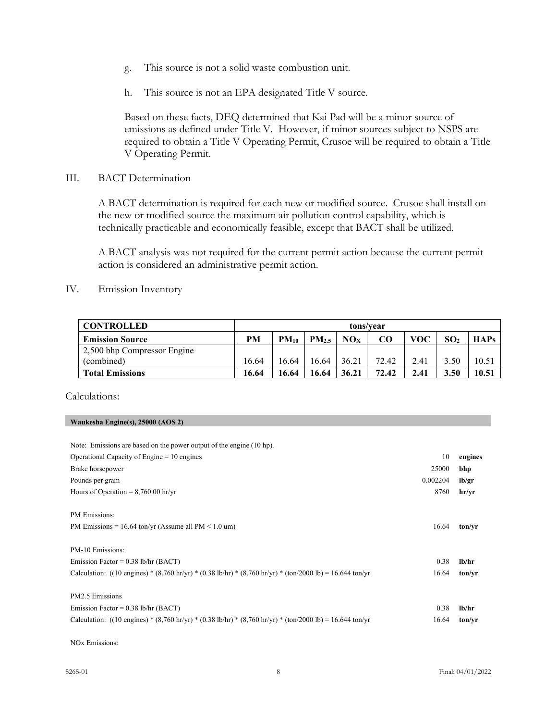- g. This source is not a solid waste combustion unit.
- h. This source is not an EPA designated Title V source.

Based on these facts, DEQ determined that Kai Pad will be a minor source of emissions as defined under Title V. However, if minor sources subject to NSPS are required to obtain a Title V Operating Permit, Crusoe will be required to obtain a Title V Operating Permit.

III. BACT Determination

A BACT determination is required for each new or modified source. Crusoe shall install on the new or modified source the maximum air pollution control capability, which is technically practicable and economically feasible, except that BACT shall be utilized.

A BACT analysis was not required for the current permit action because the current permit action is considered an administrative permit action.

IV. Emission Inventory

| <b>CONTROLLED</b>           | tons/vear |           |                   |       |       |      |                 |             |
|-----------------------------|-----------|-----------|-------------------|-------|-------|------|-----------------|-------------|
| <b>Emission Source</b>      | PМ        | $PM_{10}$ | PM <sub>2.5</sub> | NOx   | CO    | voc  | SO <sub>2</sub> | <b>HAPs</b> |
| 2,500 bhp Compressor Engine |           |           |                   |       |       |      |                 |             |
| (combined)                  | 16.64     | 16.64     | 16.64             | 36.21 | 72.42 | 2.41 | 3.50            | 10.51       |
| <b>Total Emissions</b>      | 16.64     | 16.64     | 16.64             | 36.21 | 72.42 | 2.41 | 3.50            | 10.51       |

Calculations:

### **Waukesha Engine(s), 25000 (AOS 2)**

| Note: Emissions are based on the power output of the engine (10 hp).                                      |          |         |
|-----------------------------------------------------------------------------------------------------------|----------|---------|
| Operational Capacity of Engine $= 10$ engines                                                             | 10       | engines |
| Brake horsepower                                                                                          | 25000    | bhp     |
| Pounds per gram                                                                                           | 0.002204 | lb/gr   |
| Hours of Operation = $8,760.00$ hr/yr                                                                     | 8760     | hr/vr   |
| PM Emissions:<br>PM Emissions = $16.64$ ton/yr (Assume all PM < $1.0$ um)                                 | 16.64    | ton/vr  |
| PM-10 Emissions:                                                                                          |          |         |
| Emission Factor = $0.38$ lb/hr (BACT)                                                                     | 0.38     | lb/hr   |
| Calculation: ((10 engines) * (8,760 hr/yr) * (0.38 lb/hr) * (8,760 hr/yr) * (ton/2000 lb) = 16.644 ton/yr | 16.64    | ton/vr  |
| PM2.5 Emissions                                                                                           |          |         |
| Emission Factor = $0.38$ lb/hr (BACT)                                                                     | 0.38     | lb/hr   |
| Calculation: ((10 engines) * (8,760 hr/yr) * (0.38 lb/hr) * (8,760 hr/yr) * (ton/2000 lb) = 16.644 ton/yr | 16.64    | ton/vr  |

NOx Emissions: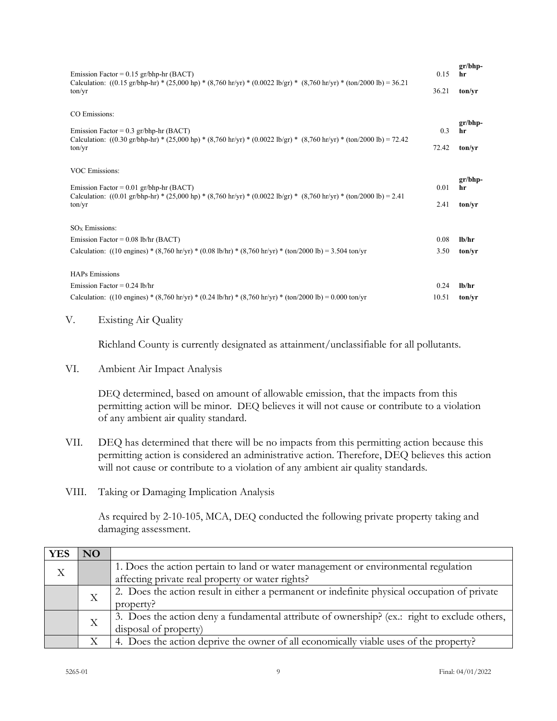| Emission Factor = $0.15$ gr/bhp-hr (BACT)<br>Calculation: $((0.15 \text{ gr/bhp-hr}) * (25,000 \text{ hp}) * (8,760 \text{ hr/yr}) * (0.0022 \text{ lb/gr}) * (8,760 \text{ hr/yr}) * (ton/2000 \text{ lb}) = 36.21$       | 0.15  | $gr/bhp-$<br>hr |
|----------------------------------------------------------------------------------------------------------------------------------------------------------------------------------------------------------------------------|-------|-----------------|
| ton/vr                                                                                                                                                                                                                     | 36.21 | ton/vr          |
| CO Emissions:                                                                                                                                                                                                              |       |                 |
| Emission Factor = $0.3$ gr/bhp-hr (BACT)                                                                                                                                                                                   | 0.3   | $gr/bhp-$<br>hr |
| Calculation: $((0.30 \text{ gr/bhp-hr}) * (25,000 \text{ hp}) * (8,760 \text{ hr/yr}) * (0.0022 \text{ lb/gr}) * (8,760 \text{ hr/yr}) * (\text{ton}/2000 \text{ lb}) = 72.42$<br>ton/vr                                   | 72.42 | ton/vr          |
| <b>VOC Emissions:</b>                                                                                                                                                                                                      |       |                 |
| Emission Factor = $0.01$ gr/bhp-hr (BACT)<br>Calculation: $((0.01 \text{ gr/bhp-hr}) * (25,000 \text{ hp}) * (8,760 \text{ hr/yr}) * (0.0022 \text{ lb/gr}) * (8,760 \text{ hr/yr}) * (\text{ton}/2000 \text{ lb}) = 2.41$ |       |                 |
| ton/vr                                                                                                                                                                                                                     | 2.41  | ton/yr          |
| $SOx$ Emissions:                                                                                                                                                                                                           |       |                 |
| Emission Factor = $0.08$ lb/hr (BACT)                                                                                                                                                                                      | 0.08  | lh/hr           |
| Calculation: ((10 engines) * (8,760 hr/yr) * (0.08 lb/hr) * (8,760 hr/yr) * (ton/2000 lb) = 3.504 ton/yr                                                                                                                   | 3.50  | ton/vr          |
| <b>HAPs Emissions</b>                                                                                                                                                                                                      |       |                 |
| Emission Factor = $0.24$ lb/hr                                                                                                                                                                                             | 0.24  | $1h$ /hr        |
| Calculation: $((10 \text{ engines}) * (8,760 \text{ hr/yr}) * (0.24 \text{ lb/hr}) * (8,760 \text{ hr/yr}) * (\text{ton}/2000 \text{ lb}) = 0.000 \text{ ton/yr}$                                                          | 10.51 | ton/vr          |

#### V. Existing Air Quality

Richland County is currently designated as attainment/unclassifiable for all pollutants.

VI. Ambient Air Impact Analysis

DEQ determined, based on amount of allowable emission, that the impacts from this permitting action will be minor. DEQ believes it will not cause or contribute to a violation of any ambient air quality standard.

- VII. DEQ has determined that there will be no impacts from this permitting action because this permitting action is considered an administrative action. Therefore, DEQ believes this action will not cause or contribute to a violation of any ambient air quality standards.
- VIII. Taking or Damaging Implication Analysis

As required by 2-10-105, MCA, DEQ conducted the following private property taking and damaging assessment.

| <b>YES</b> | NO |                                                                                              |
|------------|----|----------------------------------------------------------------------------------------------|
| X          |    | 1. Does the action pertain to land or water management or environmental regulation           |
|            |    | affecting private real property or water rights?                                             |
|            |    | 2. Does the action result in either a permanent or indefinite physical occupation of private |
|            | Χ  | property?                                                                                    |
|            | X  | 3. Does the action deny a fundamental attribute of ownership? (ex.: right to exclude others, |
|            |    | disposal of property)                                                                        |
|            |    | 4. Does the action deprive the owner of all economically viable uses of the property?        |